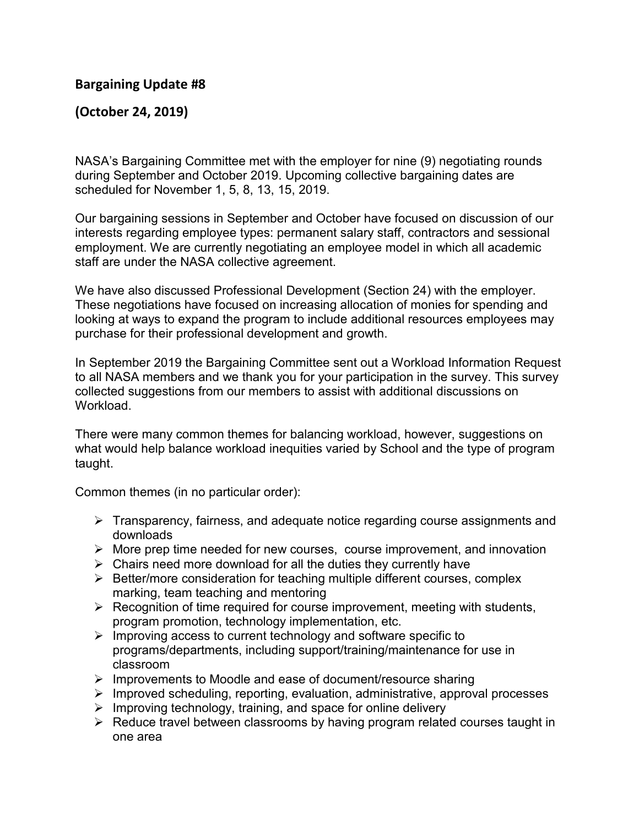## **Bargaining Update #8**

## **(October 24, 2019)**

NASA's Bargaining Committee met with the employer for nine (9) negotiating rounds during September and October 2019. Upcoming collective bargaining dates are scheduled for November 1, 5, 8, 13, 15, 2019.

Our bargaining sessions in September and October have focused on discussion of our interests regarding employee types: permanent salary staff, contractors and sessional employment. We are currently negotiating an employee model in which all academic staff are under the NASA collective agreement.

We have also discussed Professional Development (Section 24) with the employer. These negotiations have focused on increasing allocation of monies for spending and looking at ways to expand the program to include additional resources employees may purchase for their professional development and growth.

In September 2019 the Bargaining Committee sent out a Workload Information Request to all NASA members and we thank you for your participation in the survey. This survey collected suggestions from our members to assist with additional discussions on Workload.

There were many common themes for balancing workload, however, suggestions on what would help balance workload inequities varied by School and the type of program taught.

Common themes (in no particular order):

- Figure Transparency, fairness, and adequate notice regarding course assignments and downloads
- $\triangleright$  More prep time needed for new courses, course improvement, and innovation
- $\triangleright$  Chairs need more download for all the duties they currently have
- $\triangleright$  Better/more consideration for teaching multiple different courses, complex marking, team teaching and mentoring
- $\triangleright$  Recognition of time required for course improvement, meeting with students, program promotion, technology implementation, etc.
- $\triangleright$  Improving access to current technology and software specific to programs/departments, including support/training/maintenance for use in classroom
- $\triangleright$  Improvements to Moodle and ease of document/resource sharing
- $\triangleright$  Improved scheduling, reporting, evaluation, administrative, approval processes
- $\triangleright$  Improving technology, training, and space for online delivery
- $\triangleright$  Reduce travel between classrooms by having program related courses taught in one area